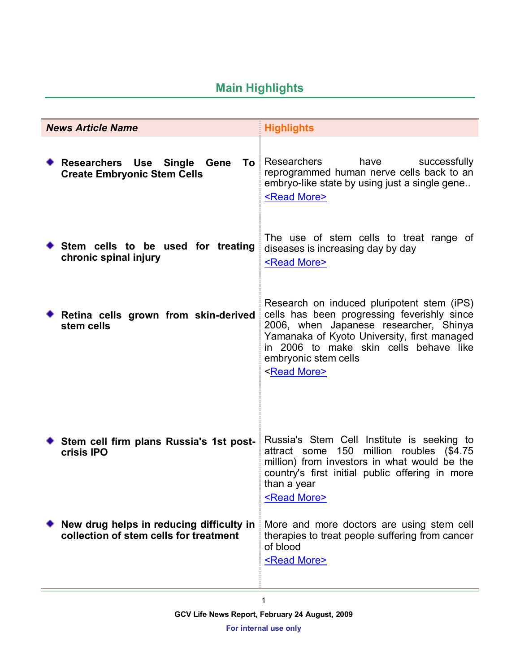# **Main Highlights**

|  | <b>News Article Name</b>                                                           | <b>Highlights</b>                                                                                                                                                                                                                                                             |
|--|------------------------------------------------------------------------------------|-------------------------------------------------------------------------------------------------------------------------------------------------------------------------------------------------------------------------------------------------------------------------------|
|  | Researchers Use Single Gene To<br><b>Create Embryonic Stem Cells</b>               | Researchers<br>have<br>successfully<br>reprogrammed human nerve cells back to an<br>embryo-like state by using just a single gene<br><read more=""></read>                                                                                                                    |
|  | Stem cells to be used for treating<br>chronic spinal injury                        | The use of stem cells to treat range of<br>diseases is increasing day by day<br><read more=""></read>                                                                                                                                                                         |
|  | Retina cells grown from skin-derived<br>stem cells                                 | Research on induced pluripotent stem (iPS)<br>cells has been progressing feverishly since<br>2006, when Japanese researcher, Shinya<br>Yamanaka of Kyoto University, first managed<br>in 2006 to make skin cells behave like<br>embryonic stem cells<br><read more=""></read> |
|  | Stem cell firm plans Russia's 1st post-<br>crisis IPO                              | Russia's Stem Cell Institute is seeking to<br>150 million roubles (\$4.75<br>attract some<br>million) from investors in what would be the<br>country's first initial public offering in more<br>than a year<br><read more=""></read>                                          |
|  | New drug helps in reducing difficulty in<br>collection of stem cells for treatment | More and more doctors are using stem cell<br>therapies to treat people suffering from cancer<br>of blood<br><read more=""></read>                                                                                                                                             |

1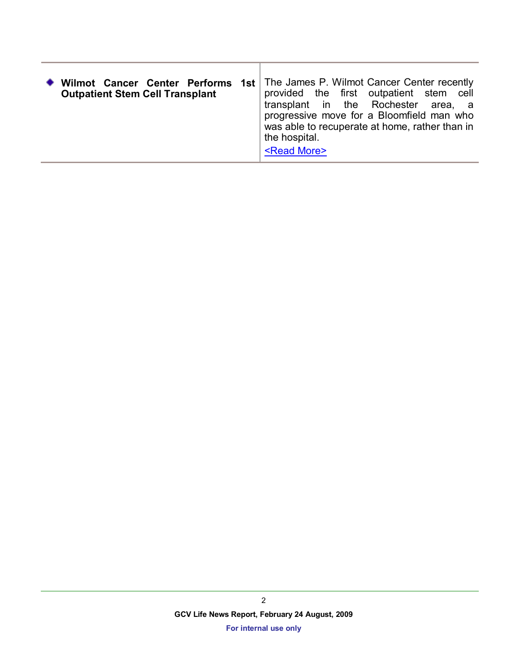| Wilmot Cancer Center Performs<br>1st ∣<br><b>Outpatient Stem Cell Transplant</b> | The James P. Wilmot Cancer Center recently<br>provided the first outpatient stem cell<br>transplant in the Rochester area, a<br>progressive move for a Bloomfield man who<br>was able to recuperate at home, rather than in<br>the hospital.<br><read more=""></read> |
|----------------------------------------------------------------------------------|-----------------------------------------------------------------------------------------------------------------------------------------------------------------------------------------------------------------------------------------------------------------------|
|----------------------------------------------------------------------------------|-----------------------------------------------------------------------------------------------------------------------------------------------------------------------------------------------------------------------------------------------------------------------|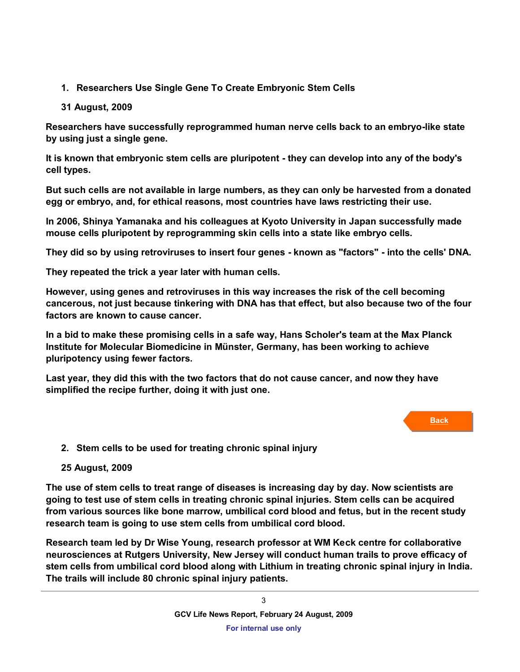# **1. Researchers Use Single Gene To Create Embryonic Stem Cells**

# **31 August, 2009**

**Researchers have successfully reprogrammed human nerve cells back to an embryo-like state by using just a single gene.** 

**It is known that embryonic stem cells are pluripotent - they can develop into any of the body's cell types.** 

**But such cells are not available in large numbers, as they can only be harvested from a donated egg or embryo, and, for ethical reasons, most countries have laws restricting their use.** 

**In 2006, Shinya Yamanaka and his colleagues at Kyoto University in Japan successfully made mouse cells pluripotent by reprogramming skin cells into a state like embryo cells.** 

**They did so by using retroviruses to insert four genes - known as "factors" - into the cells' DNA.** 

**They repeated the trick a year later with human cells.** 

**However, using genes and retroviruses in this way increases the risk of the cell becoming cancerous, not just because tinkering with DNA has that effect, but also because two of the four factors are known to cause cancer.** 

**In a bid to make these promising cells in a safe way, Hans Scholer's team at the Max Planck Institute for Molecular Biomedicine in Münster, Germany, has been working to achieve pluripotency using fewer factors.**

**Last year, they did this with the two factors that do not cause cancer, and now they have simplified the recipe further, doing it with just one.**

## **Back**

**2. Stem cells to be used for treating chronic spinal injury**

# **25 August, 2009**

**The use of stem cells to treat range of diseases is increasing day by day. Now scientists are going to test use of stem cells in treating chronic spinal injuries. Stem cells can be acquired from various sources like bone marrow, umbilical cord blood and fetus, but in the recent study research team is going to use stem cells from umbilical cord blood.**

**Research team led by Dr Wise Young, research professor at WM Keck centre for collaborative neurosciences at Rutgers University, New Jersey will conduct human trails to prove efficacy of stem cells from umbilical cord blood along with Lithium in treating chronic spinal injury in India. The trails will include 80 chronic spinal injury patients.**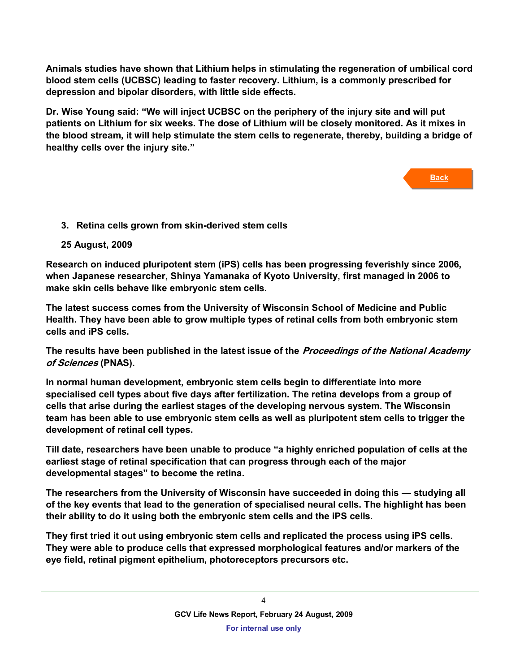**Animals studies have shown that Lithium helps in stimulating the regeneration of umbilical cord blood stem cells (UCBSC) leading to faster recovery. Lithium, is a commonly prescribed for depression and bipolar disorders, with little side effects.**

**Dr. Wise Young said: "We will inject UCBSC on the periphery of the injury site and will put patients on Lithium for six weeks. The dose of Lithium will be closely monitored. As it mixes in the blood stream, it will help stimulate the stem cells to regenerate, thereby, building a bridge of healthy cells over the injury site."**

**Back**

<span id="page-3-0"></span>**3. Retina cells grown from skin-derived stem cells**

## **25 August, 2009**

**Research on induced pluripotent stem (iPS) cells has been progressing feverishly since 2006, when Japanese researcher, Shinya Yamanaka of Kyoto University, first managed in 2006 to make skin cells behave like embryonic stem cells.**

**The latest success comes from the University of Wisconsin School of Medicine and Public Health. They have been able to grow multiple types of retinal cells from both embryonic stem cells and iPS cells.**

**The results have been published in the latest issue of the Proceedings of the National Academy of Sciences (PNAS).**

**In normal human development, embryonic stem cells begin to differentiate into more specialised cell types about five days after fertilization. The retina develops from a group of cells that arise during the earliest stages of the developing nervous system. The Wisconsin team has been able to use embryonic stem cells as well as pluripotent stem cells to trigger the development of retinal cell types.**

**Till date, researchers have been unable to produce "a highly enriched population of cells at the earliest stage of retinal specification that can progress through each of the major developmental stages" to become the retina.**

**The researchers from the University of Wisconsin have succeeded in doing this — studying all of the key events that lead to the generation of specialised neural cells. The highlight has been their ability to do it using both the embryonic stem cells and the iPS cells.**

**They first tried it out using embryonic stem cells and replicated the process using iPS cells. They were able to produce cells that expressed morphological features and/or markers of the eye field, retinal pigment epithelium, photoreceptors precursors etc.**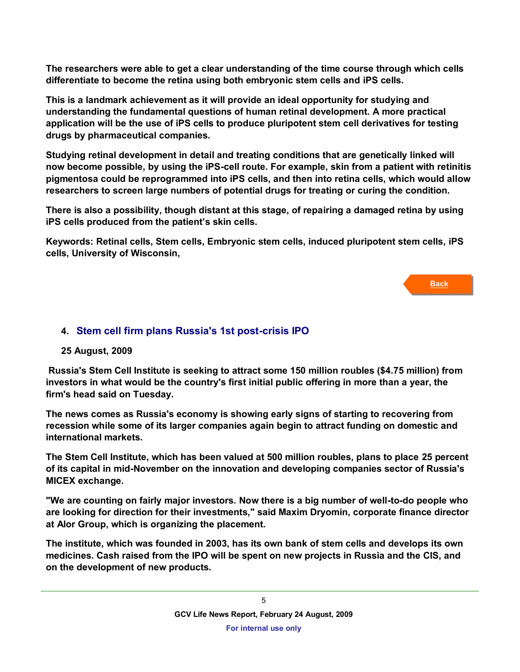**The researchers were able to get a clear understanding of the time course through which cells differentiate to become the retina using both embryonic stem cells and iPS cells.**

**This is a landmark achievement as it will provide an ideal opportunity for studying and understanding the fundamental questions of human retinal development. A more practical application will be the use of iPS cells to produce pluripotent stem cell derivatives for testing drugs by pharmaceutical companies.**

**Studying retinal development in detail and treating conditions that are genetically linked will now become possible, by using the iPS-cell route. For example, skin from a patient with retinitis pigmentosa could be reprogrammed into iPS cells, and then into retina cells, which would allow researchers to screen large numbers of potential drugs for treating or curing the condition.**

**There is also a possibility, though distant at this stage, of repairing a damaged retina by using iPS cells produced from the patient's skin cells.**

**Keywords: [Retinal cells,](http://beta.thehindu.com/search/simple.do?publicationId=4&includeSectionId=11&articleType=news&articleType=review&articleType=slideshow&articleType=flash&articleType=url&articleType=google-map&articleType=video&articleType=webcam&pageLength=10&sortString=score&optimized=false&stemType=stemmed&searchEngineName=HinduIndex&searchString=%22Retinal+cells%22) [Stem cells,](http://beta.thehindu.com/search/simple.do?publicationId=4&includeSectionId=11&articleType=news&articleType=review&articleType=slideshow&articleType=flash&articleType=url&articleType=google-map&articleType=video&articleType=webcam&pageLength=10&sortString=score&optimized=false&stemType=stemmed&searchEngineName=HinduIndex&searchString=%22Stem+cells%22) [Embryonic stem cells,](http://beta.thehindu.com/search/simple.do?publicationId=4&includeSectionId=11&articleType=news&articleType=review&articleType=slideshow&articleType=flash&articleType=url&articleType=google-map&articleType=video&articleType=webcam&pageLength=10&sortString=score&optimized=false&stemType=stemmed&searchEngineName=HinduIndex&searchString=%22Embryonic+stem+cells%22) [induced pluripotent stem cells,](http://beta.thehindu.com/search/simple.do?publicationId=4&includeSectionId=11&articleType=news&articleType=review&articleType=slideshow&articleType=flash&articleType=url&articleType=google-map&articleType=video&articleType=webcam&pageLength=10&sortString=score&optimized=false&stemType=stemmed&searchEngineName=HinduIndex&searchString=%22induced+pluripotent+stem+cells%22) [iPS](http://beta.thehindu.com/search/simple.do?publicationId=4&includeSectionId=11&articleType=news&articleType=review&articleType=slideshow&articleType=flash&articleType=url&articleType=google-map&articleType=video&articleType=webcam&pageLength=10&sortString=score&optimized=false&stemType=stemmed&searchEngineName=HinduIndex&searchString=%22iPS+cells%22)  [cells,](http://beta.thehindu.com/search/simple.do?publicationId=4&includeSectionId=11&articleType=news&articleType=review&articleType=slideshow&articleType=flash&articleType=url&articleType=google-map&articleType=video&articleType=webcam&pageLength=10&sortString=score&optimized=false&stemType=stemmed&searchEngineName=HinduIndex&searchString=%22iPS+cells%22) [University of Wisconsin,](http://beta.thehindu.com/search/simple.do?publicationId=4&includeSectionId=11&articleType=news&articleType=review&articleType=slideshow&articleType=flash&articleType=url&articleType=google-map&articleType=video&articleType=webcam&pageLength=10&sortString=score&optimized=false&stemType=stemmed&searchEngineName=HinduIndex&searchString=%22University+of+Wisconsin%22)**

**Back**

## <span id="page-4-0"></span>**4. Stem cell firm plans Russia's 1st post-crisis IPO**

#### **25 August, 2009**

**Russia's Stem Cell Institute is seeking to attract some 150 million roubles (\$4.75 million) from investors in what would be the country's first initial public offering in more than a year, the firm's head said on Tuesday.**

**The news comes as Russia's economy is showing early signs of starting to recovering from recession while some of its larger companies again begin to attract funding on domestic and international markets.**

**The Stem Cell Institute, which has been valued at 500 million roubles, plans to place 25 percent of its capital in mid-November on the innovation and developing companies sector of Russia's MICEX exchange.**

**"We are counting on fairly major investors. Now there is a big number of well-to-do people who are looking for direction for their investments," said Maxim Dryomin, corporate finance director at Alor Group, which is organizing the placement.**

**The institute, which was founded in 2003, has its own bank of stem cells and develops its own medicines. Cash raised from the IPO will be spent on new projects in Russia and the CIS, and on the development of new products.**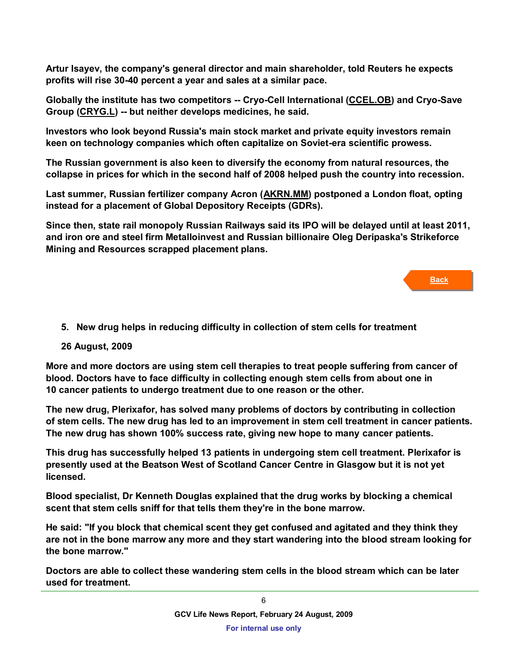**Artur Isayev, the company's general director and main shareholder, told Reuters he expects profits will rise 30-40 percent a year and sales at a similar pace.**

**Globally the institute has two competitors -- Cryo-Cell International [\(CCEL.OB\)](http://www.reuters.com/finance/stocks/overview?symbol=CCEL.OB%09) and Cryo-Save Group [\(CRYG.L\)](http://www.reuters.com/finance/stocks/overview?symbol=CRYG.L%09) -- but neither develops medicines, he said.**

**Investors who look beyond Russia's main stock market and private equity investors remain keen on technology companies which often capitalize on Soviet-era scientific prowess.**

**The Russian government is also keen to diversify the economy from natural resources, the collapse in prices for which in the second half of 2008 helped push the country into recession.**

**Last summer, Russian fertilizer company Acron [\(AKRN.MM\)](http://www.reuters.com/finance/stocks/overview?symbol=AKRN.MM%09) postponed a London float, opting instead for a placement of Global Depository Receipts (GDRs).**

**Since then, state rail monopoly Russian Railways said its IPO will be delayed until at least 2011, and iron ore and steel firm Metalloinvest and Russian billionaire Oleg Deripaska's Strikeforce Mining and Resources scrapped placement plans.**

**Back**

<span id="page-5-0"></span>**5. New drug helps in reducing difficulty in collection of stem cells for treatment**

## **26 August, 2009**

**More and more doctors are using stem cell therapies to treat people suffering from cancer of blood. Doctors have to face difficulty in collecting enough stem cells from about one in 10 cancer patients to undergo treatment due to one reason or the other.**

**The new drug, Plerixafor, has solved many problems of doctors by contributing in collection of stem cells. The new drug has led to an improvement in stem cell treatment in cancer patients. The new drug has shown 100% success rate, giving new hope to many cancer patients.**

**This drug has successfully helped 13 patients in undergoing stem cell treatment. Plerixafor is presently used at the Beatson West of Scotland Cancer Centre in Glasgow but it is not yet licensed.**

**Blood specialist, Dr Kenneth Douglas explained that the drug works by blocking a chemical scent that stem cells sniff for that tells them they're in the bone marrow.**

**He said: "If you block that chemical scent they get confused and agitated and they think they are not in the bone marrow any more and they start wandering into the blood stream looking for the bone marrow."**

**Doctors are able to collect these wandering stem cells in the blood stream which can be later used for treatment.**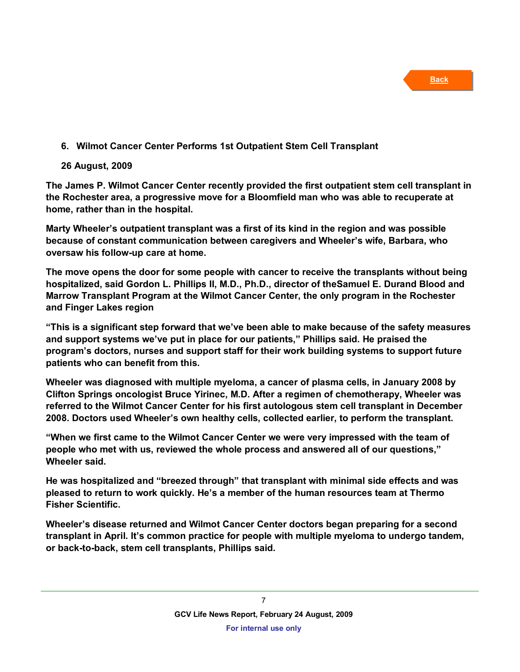# <span id="page-6-0"></span>**6. Wilmot Cancer Center Performs 1st Outpatient Stem Cell Transplant**

## **26 August, 2009**

**The James P. Wilmot Cancer Center recently provided the first outpatient stem cell transplant in the Rochester area, a progressive move for a Bloomfield man who was able to recuperate at home, rather than in the hospital.**

**Marty Wheeler's outpatient transplant was a first of its kind in the region and was possible because of constant communication between caregivers and Wheeler's wife, Barbara, who oversaw his follow-up care at home.**

**The move opens the door for some people with cancer to receive the transplants without being hospitalized, said [Gordon L. Phillips II, M.D., Ph.D.](http://www.urmc.rochester.edu/web/index.cfm?event=doctor.profile.show&person_id=1002305&display=for_patients), director of th[eSamuel E. Durand Blood and](http://www.urmc.rochester.edu/cancer-center/patient-families/cancer-treatment/BMT/index.cfm)  [Marrow Transplant Program](http://www.urmc.rochester.edu/cancer-center/patient-families/cancer-treatment/BMT/index.cfm) at the Wilmot Cancer Center, the only program in the Rochester and Finger Lakes region**

**"This is a significant step forward that we've been able to make because of the safety measures and support systems we've put in place for our patients," Phillips said. He praised the program's doctors, nurses and support staff for their work building systems to support future patients who can benefit from this.**

**Wheeler was diagnosed with [multiple myeloma,](http://www.urmc.rochester.edu/encyclopedia/content.cfm?pageid=P07265) a cancer of plasma cells, in January 2008 by Clifton Springs oncologist Bruce Yirinec, M.D. After a regimen of chemotherapy, Wheeler was referred to the [Wilmot Cancer Center](http://www.wilmotcancercenter.com/) for his first autologous stem cell transplant in December 2008. Doctors used Wheeler's own healthy cells, collected earlier, to perform the [transplant.](http://www.urmc.rochester.edu/cancer-center/patient-families/cancer-treatment/BMT/transplant-process.cfm)**

**"When we first came to the Wilmot Cancer Center we were very impressed with the team of people who met with us, reviewed the whole process and answered all of our questions," Wheeler said.**

**He was hospitalized and "breezed through" that transplant with minimal side effects and was pleased to return to work quickly. He's a member of the human resources team at Thermo Fisher Scientific.**

**Wheeler's disease returned and Wilmot Cancer Center doctors began preparing for a second transplant in April. It's common practice for people with multiple myeloma to undergo tandem, or back-to-back, stem cell transplants, Phillips said.**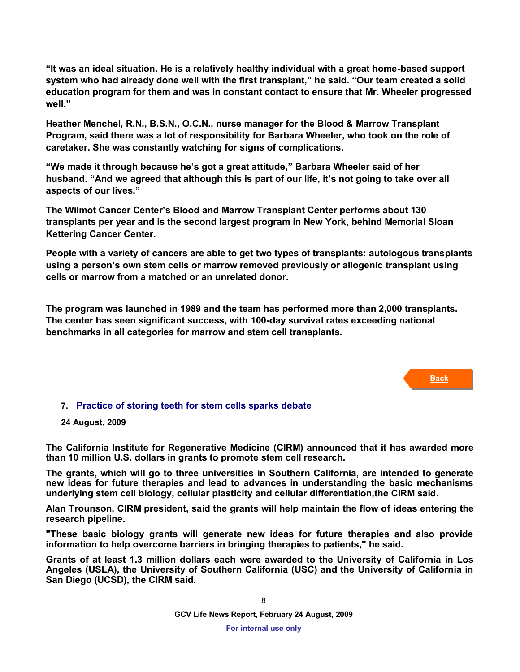**"It was an ideal situation. He is a relatively healthy individual with a great home-based support system who had already done well with the first transplant," he said. "Our team created a solid education program for them and was in constant contact to ensure that Mr. Wheeler progressed well."**

**Heather Menchel, R.N., B.S.N., O.C.N., nurse manager for the Blood & Marrow Transplant Program, said there was a lot of responsibility for Barbara Wheeler, who took on the role of caretaker. She was constantly watching for signs of complications.**

**"We made it through because he's got a great attitude," Barbara Wheeler said of her husband. "And we agreed that although this is part of our life, it's not going to take over all aspects of our lives."**

**The Wilmot Cancer Center's Blood and Marrow Transplant Center performs about 130 transplants per year and is the second largest program in New York, behind Memorial Sloan Kettering Cancer Center.**

**People with a variety of cancers are able to get two types of transplants: autologous transplants using a person's own stem cells or marrow removed previously or allogenic transplant using cells or marrow from a matched or an unrelated donor.**

**The program was launched in 1989 and the team has performed more than 2,000 transplants. The center has seen significant success, with 100-day survival rates exceeding national benchmarks in all categories for marrow and stem cell transplants.** 

**Back**

## **7. Practice of storing teeth for stem cells sparks debate**

#### **24 August, 2009**

**The California Institute for Regenerative Medicine (CIRM) announced that it has awarded more than 10 million U.S. dollars in grants to promote stem cell research.**

**The grants, which will go to three universities in Southern California, are intended to generate new ideas for future therapies and lead to advances in understanding the basic mechanisms underlying stem cell biology, cellular plasticity and cellular differentiation,the CIRM said.**

**Alan Trounson, CIRM president, said the grants will help maintain the flow of ideas entering the research pipeline.**

**"These basic biology grants will generate new ideas for future therapies and also provide information to help overcome barriers in bringing therapies to patients," he said.**

**Grants of at least 1.3 million dollars each were awarded to the University of California in Los Angeles (USLA), the University of Southern California (USC) and the University of California in San Diego (UCSD), the CIRM said.**